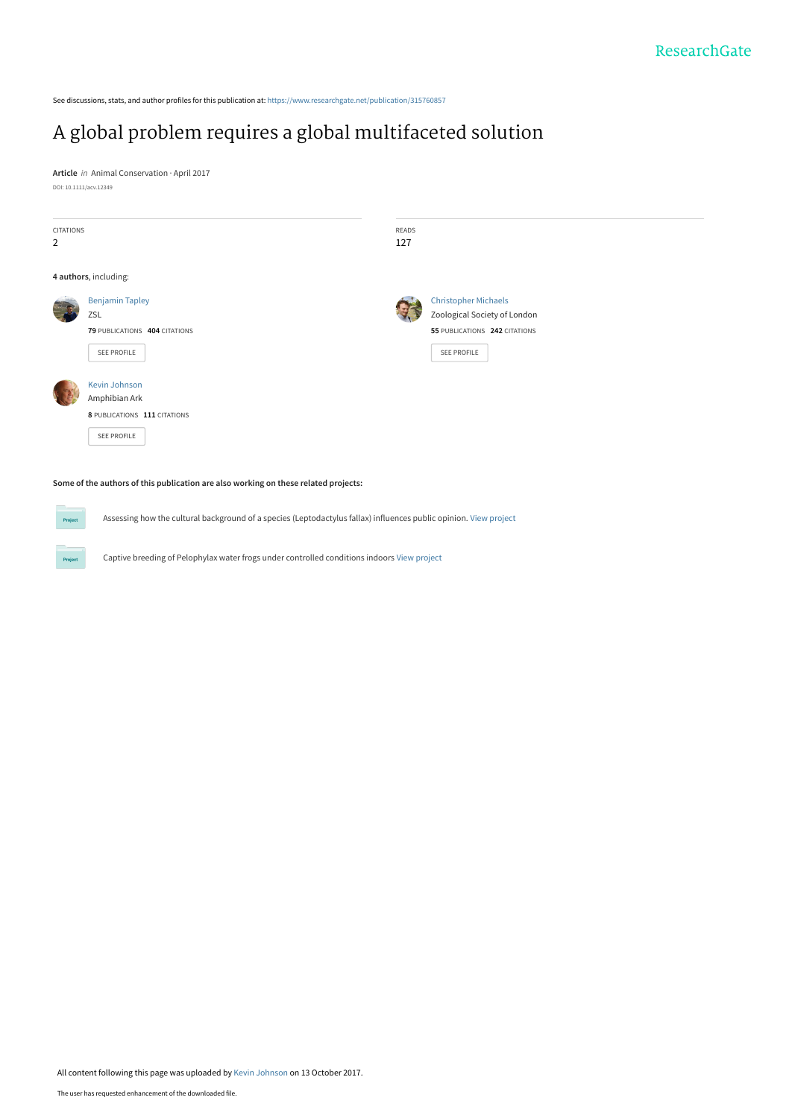See discussions, stats, and author profiles for this publication at: [https://www.researchgate.net/publication/315760857](https://www.researchgate.net/publication/315760857_A_global_problem_requires_a_global_multifaceted_solution?enrichId=rgreq-2353ee42a8bdbe70480ec4663005ed62-XXX&enrichSource=Y292ZXJQYWdlOzMxNTc2MDg1NztBUzo1NDkxMTg0NDEyNTQ5MTJAMTUwNzkzMTQ0NjM4Ng%3D%3D&el=1_x_2&_esc=publicationCoverPdf)

# [A global problem requires a global multifaceted solution](https://www.researchgate.net/publication/315760857_A_global_problem_requires_a_global_multifaceted_solution?enrichId=rgreq-2353ee42a8bdbe70480ec4663005ed62-XXX&enrichSource=Y292ZXJQYWdlOzMxNTc2MDg1NztBUzo1NDkxMTg0NDEyNTQ5MTJAMTUwNzkzMTQ0NjM4Ng%3D%3D&el=1_x_3&_esc=publicationCoverPdf)

**Article** in Animal Conservation · April 2017 DOI: 10.1111/acv.12349

 $P_{\text{ro}}$ 

| CITATIONS<br>$\overline{2}$ |                                                                                      | READS<br>127 |                                                                                                             |
|-----------------------------|--------------------------------------------------------------------------------------|--------------|-------------------------------------------------------------------------------------------------------------|
|                             | 4 authors, including:                                                                |              |                                                                                                             |
|                             | <b>Benjamin Tapley</b><br>ZSL<br>79 PUBLICATIONS 404 CITATIONS<br><b>SEE PROFILE</b> |              | <b>Christopher Michaels</b><br>Zoological Society of London<br>55 PUBLICATIONS 242 CITATIONS<br>SEE PROFILE |
|                             | Kevin Johnson<br>Amphibian Ark<br>8 PUBLICATIONS 111 CITATIONS<br>SEE PROFILE        |              |                                                                                                             |

### **Some of the authors of this publication are also working on these related projects:**

Assessing how the cultural background of a species (Leptodactylus fallax) influences public opinion. [View project](https://www.researchgate.net/project/Assessing-how-the-cultural-background-of-a-species-Leptodactylus-fallax-influences-public-opinion?enrichId=rgreq-2353ee42a8bdbe70480ec4663005ed62-XXX&enrichSource=Y292ZXJQYWdlOzMxNTc2MDg1NztBUzo1NDkxMTg0NDEyNTQ5MTJAMTUwNzkzMTQ0NjM4Ng%3D%3D&el=1_x_9&_esc=publicationCoverPdf)

Captive breeding of Pelophylax water frogs under controlled conditions indoors [View project](https://www.researchgate.net/project/Captive-breeding-of-Pelophylax-water-frogs-under-controlled-conditions-indoors?enrichId=rgreq-2353ee42a8bdbe70480ec4663005ed62-XXX&enrichSource=Y292ZXJQYWdlOzMxNTc2MDg1NztBUzo1NDkxMTg0NDEyNTQ5MTJAMTUwNzkzMTQ0NjM4Ng%3D%3D&el=1_x_9&_esc=publicationCoverPdf)

All content following this page was uploaded by [Kevin Johnson](https://www.researchgate.net/profile/Kevin_Johnson44?enrichId=rgreq-2353ee42a8bdbe70480ec4663005ed62-XXX&enrichSource=Y292ZXJQYWdlOzMxNTc2MDg1NztBUzo1NDkxMTg0NDEyNTQ5MTJAMTUwNzkzMTQ0NjM4Ng%3D%3D&el=1_x_10&_esc=publicationCoverPdf) on 13 October 2017.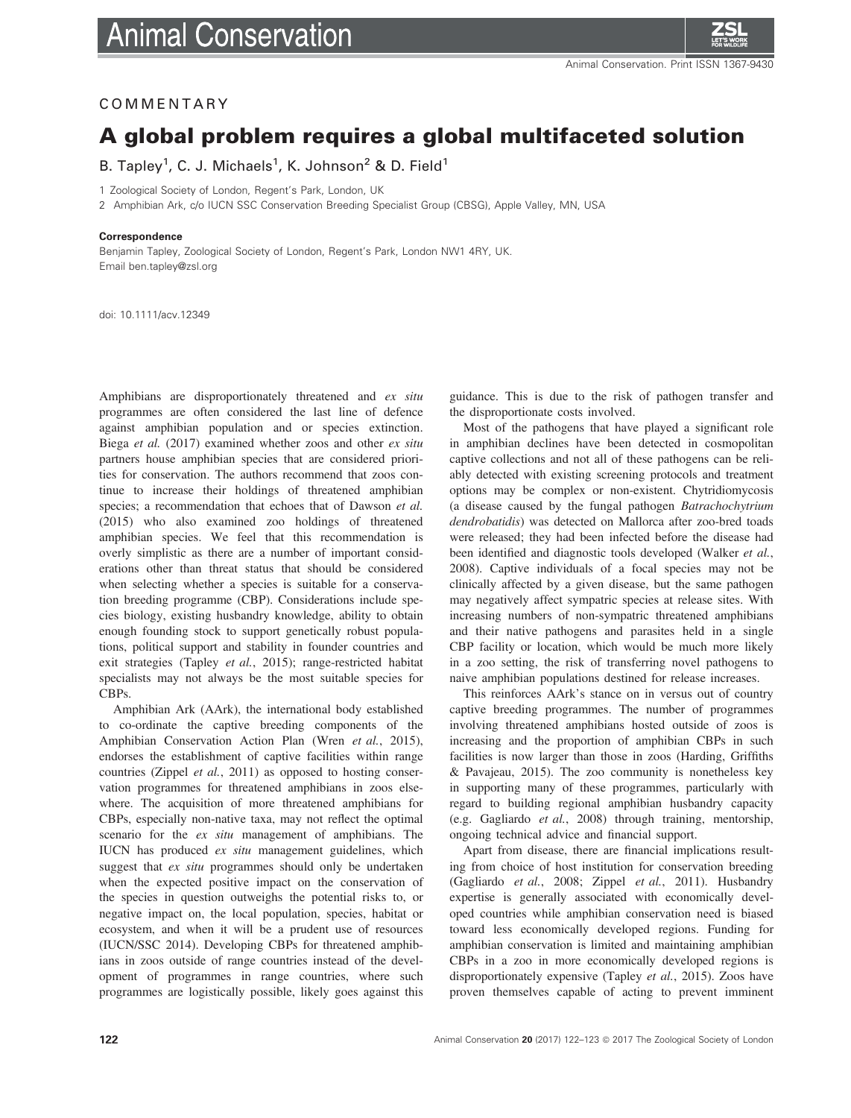

## COMMENTARY

# A global problem requires a global multifaceted solution

B. Tapley<sup>1</sup>, C. J. Michaels<sup>1</sup>, K. Johnson<sup>2</sup> & D. Field<sup>1</sup>

1 Zoological Society of London, Regent's Park, London, UK

2 Amphibian Ark, c/o IUCN SSC Conservation Breeding Specialist Group (CBSG), Apple Valley, MN, USA

#### Correspondence

Benjamin Tapley, Zoological Society of London, Regent's Park, London NW1 4RY, UK. Email ben.tapley@zsl.org

doi: 10.1111/acv.12349

Amphibians are disproportionately threatened and ex situ programmes are often considered the last line of defence against amphibian population and or species extinction. Biega et al. (2017) examined whether zoos and other ex situ partners house amphibian species that are considered priorities for conservation. The authors recommend that zoos continue to increase their holdings of threatened amphibian species; a recommendation that echoes that of Dawson et al. (2015) who also examined zoo holdings of threatened amphibian species. We feel that this recommendation is overly simplistic as there are a number of important considerations other than threat status that should be considered when selecting whether a species is suitable for a conservation breeding programme (CBP). Considerations include species biology, existing husbandry knowledge, ability to obtain enough founding stock to support genetically robust populations, political support and stability in founder countries and exit strategies (Tapley et al., 2015); range-restricted habitat specialists may not always be the most suitable species for CBPs.

Amphibian Ark (AArk), the international body established to co-ordinate the captive breeding components of the Amphibian Conservation Action Plan (Wren et al., 2015), endorses the establishment of captive facilities within range countries (Zippel et al., 2011) as opposed to hosting conservation programmes for threatened amphibians in zoos elsewhere. The acquisition of more threatened amphibians for CBPs, especially non-native taxa, may not reflect the optimal scenario for the ex situ management of amphibians. The IUCN has produced ex situ management guidelines, which suggest that ex situ programmes should only be undertaken when the expected positive impact on the conservation of the species in question outweighs the potential risks to, or negative impact on, the local population, species, habitat or ecosystem, and when it will be a prudent use of resources (IUCN/SSC 2014). Developing CBPs for threatened amphibians in zoos outside of range countries instead of the development of programmes in range countries, where such programmes are logistically possible, likely goes against this guidance. This is due to the risk of pathogen transfer and the disproportionate costs involved.

Most of the pathogens that have played a significant role in amphibian declines have been detected in cosmopolitan captive collections and not all of these pathogens can be reliably detected with existing screening protocols and treatment options may be complex or non-existent. Chytridiomycosis (a disease caused by the fungal pathogen Batrachochytrium dendrobatidis) was detected on Mallorca after zoo-bred toads were released; they had been infected before the disease had been identified and diagnostic tools developed (Walker et al., 2008). Captive individuals of a focal species may not be clinically affected by a given disease, but the same pathogen may negatively affect sympatric species at release sites. With increasing numbers of non-sympatric threatened amphibians and their native pathogens and parasites held in a single CBP facility or location, which would be much more likely in a zoo setting, the risk of transferring novel pathogens to naive amphibian populations destined for release increases.

This reinforces AArk's stance on in versus out of country captive breeding programmes. The number of programmes involving threatened amphibians hosted outside of zoos is increasing and the proportion of amphibian CBPs in such facilities is now larger than those in zoos (Harding, Griffiths & Pavajeau, 2015). The zoo community is nonetheless key in supporting many of these programmes, particularly with regard to building regional amphibian husbandry capacity (e.g. Gagliardo et al., 2008) through training, mentorship, ongoing technical advice and financial support.

Apart from disease, there are financial implications resulting from choice of host institution for conservation breeding (Gagliardo et al., 2008; Zippel et al., 2011). Husbandry expertise is generally associated with economically developed countries while amphibian conservation need is biased toward less economically developed regions. Funding for amphibian conservation is limited and maintaining amphibian CBPs in a zoo in more economically developed regions is disproportionately expensive (Tapley *et al.*, 2015). Zoos have proven themselves capable of acting to prevent imminent